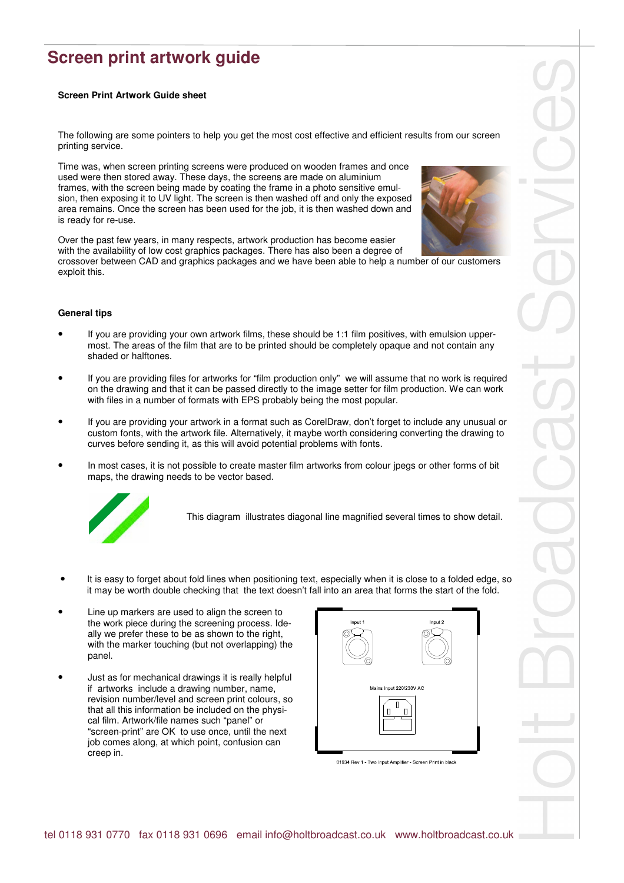## **Screen print artwork guide**

## **Screen Print Artwork Guide sheet**

The following are some pointers to help you get the most cost effective and efficient results from our screen printing service.

Time was, when screen printing screens were produced on wooden frames and once used were then stored away. These days, the screens are made on aluminium frames, with the screen being made by coating the frame in a photo sensitive emulsion, then exposing it to UV light. The screen is then washed off and only the exposed area remains. Once the screen has been used for the job, it is then washed down and is ready for re-use.



Over the past few years, in many respects, artwork production has become easier with the availability of low cost graphics packages. There has also been a degree of crossover between CAD and graphics packages and we have been able to help a number of our customers exploit this.

## **General tips**

- If you are providing your own artwork films, these should be 1:1 film positives, with emulsion uppermost. The areas of the film that are to be printed should be completely opaque and not contain any shaded or halftones.
- If you are providing files for artworks for "film production only" we will assume that no work is required on the drawing and that it can be passed directly to the image setter for film production. We can work with files in a number of formats with EPS probably being the most popular.
- If you are providing your artwork in a format such as CorelDraw, don't forget to include any unusual or custom fonts, with the artwork file. Alternatively, it maybe worth considering converting the drawing to curves before sending it, as this will avoid potential problems with fonts.
- In most cases, it is not possible to create master film artworks from colour jpegs or other forms of bit maps, the drawing needs to be vector based.



This diagram illustrates diagonal line magnified several times to show detail.

- It is easy to forget about fold lines when positioning text, especially when it is close to a folded edge, so it may be worth double checking that the text doesn't fall into an area that forms the start of the fold.
- Line up markers are used to align the screen to the work piece during the screening process. Ideally we prefer these to be as shown to the right, with the marker touching (but not overlapping) the panel.
- Just as for mechanical drawings it is really helpful if artworks include a drawing number, name, revision number/level and screen print colours, so that all this information be included on the physical film. Artwork/file names such "panel" or "screen-print" are OK to use once, until the next job comes along, at which point, confusion can creep in.



01934 Rev 1 - Two Input Amplifier - Screen Print in black